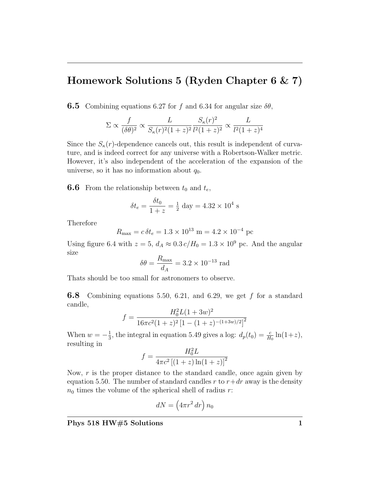## Homework Solutions 5 (Ryden Chapter 6 & 7)

**6.5** Combining equations 6.27 for f and 6.34 for angular size  $\delta\theta$ ,

$$
\Sigma \propto \frac{f}{(\delta \theta)^2} \propto \frac{L}{S_{\kappa}(r)^2 (1+z)^2} \frac{S_{\kappa}(r)^2}{l^2 (1+z)^2} \propto \frac{L}{l^2 (1+z)^4}
$$

Since the  $S_{\kappa}(r)$ -dependence cancels out, this result is independent of curvature, and is indeed correct for any universe with a Robertson-Walker metric. However, it's also independent of the acceleration of the expansion of the universe, so it has no information about  $q_0$ .

**6.6** From the relationship between  $t_0$  and  $t_e$ ,

$$
\delta t_e = \frac{\delta t_0}{1+z} = \frac{1}{2} \text{ day} = 4.32 \times 10^4 \text{ s}
$$

Therefore

$$
R_{\text{max}} = c \,\delta t_e = 1.3 \times 10^{13} \text{ m} = 4.2 \times 10^{-4} \text{ pc}
$$

Using figure 6.4 with  $z = 5$ ,  $d_A \approx 0.3 c/H_0 = 1.3 \times 10^9$  pc. And the angular size

$$
\delta\theta = \frac{R_{\text{max}}}{d_A} = 3.2 \times 10^{-13} \text{ rad}
$$

Thats should be too small for astronomers to observe.

**6.8** Combining equations 5.50, 6.21, and 6.29, we get f for a standard candle,

$$
f = \frac{H_0^2 L (1 + 3w)^2}{16\pi c^2 (1 + z)^2 [1 - (1 + z)^{-(1+3w)/2}]^2}
$$

When  $w = -\frac{1}{3}$  $\frac{1}{3}$ , the integral in equation 5.49 gives a log:  $d_p(t_0) = \frac{c}{H_0} \ln(1+z)$ , resulting in

$$
f = \frac{H_0^2 L}{4\pi c^2 \left[ (1+z) \ln(1+z) \right]^2}
$$

Now,  $r$  is the proper distance to the standard candle, once again given by equation 5.50. The number of standard candles r to  $r + dr$  away is the density  $n_0$  times the volume of the spherical shell of radius r:

$$
dN = \left(4\pi r^2 dr\right) n_0
$$

Phys 518 HW#5 Solutions 1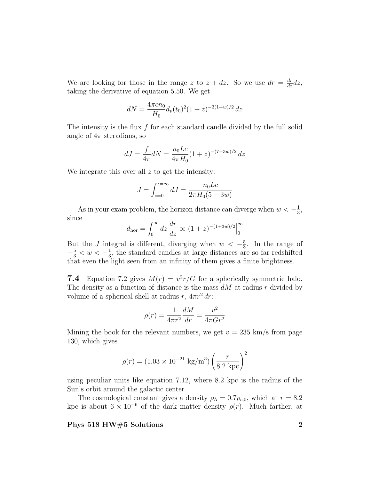We are looking for those in the range z to  $z + dz$ . So we use  $dr = \frac{dr}{dz} dz$ , taking the derivative of equation 5.50. We get

$$
dN = \frac{4\pi c n_0}{H_0} d_p(t_0)^2 (1+z)^{-3(1+w)/2} dz
$$

The intensity is the flux  $f$  for each standard candle divided by the full solid angle of  $4\pi$  steradians, so

$$
dJ = \frac{f}{4\pi}dN = \frac{n_0 L c}{4\pi H_0} (1+z)^{-(7+3w)/2} dz
$$

We integrate this over all  $z$  to get the intensity:

$$
J = \int_{z=0}^{z=\infty} dJ = \frac{n_0 L c}{2\pi H_0 (5+3w)}
$$

As in your exam problem, the horizon distance can diverge when  $w < -\frac{1}{3}$  $\frac{1}{3}$ , since

$$
d_{\rm hor} = \int_0^\infty dz \, \frac{dr}{dz} \propto (1+z)^{-(1+3w)/2} \Big|_0^\infty
$$

But the J integral is different, diverging when  $w < -\frac{5}{3}$  $\frac{5}{3}$ . In the range of  $-\frac{5}{3} < w < -\frac{1}{3}$  $\frac{1}{3}$ , the standard candles at large distances are so far redshifted that even the light seen from an infinity of them gives a finite brightness.

**7.4** Equation 7.2 gives  $M(r) = v^2r/G$  for a spherically symmetric halo. The density as a function of distance is the mass  $dM$  at radius r divided by volume of a spherical shell at radius  $r, 4\pi r^2 dr$ :

$$
\rho(r) = \frac{1}{4\pi r^2} \frac{dM}{dr} = \frac{v^2}{4\pi G r^2}
$$

Mining the book for the relevant numbers, we get  $v = 235$  km/s from page 130, which gives

$$
\rho(r) = (1.03 \times 10^{-21} \text{ kg/m}^3) \left(\frac{r}{8.2 \text{ kpc}}\right)^2
$$

using peculiar units like equation 7.12, where 8.2 kpc is the radius of the Sun's orbit around the galactic center.

The cosmological constant gives a density  $\rho_{\Lambda} = 0.7 \rho_{c,0}$ , which at  $r = 8.2$ kpc is about  $6 \times 10^{-6}$  of the dark matter density  $\rho(r)$ . Much farther, at